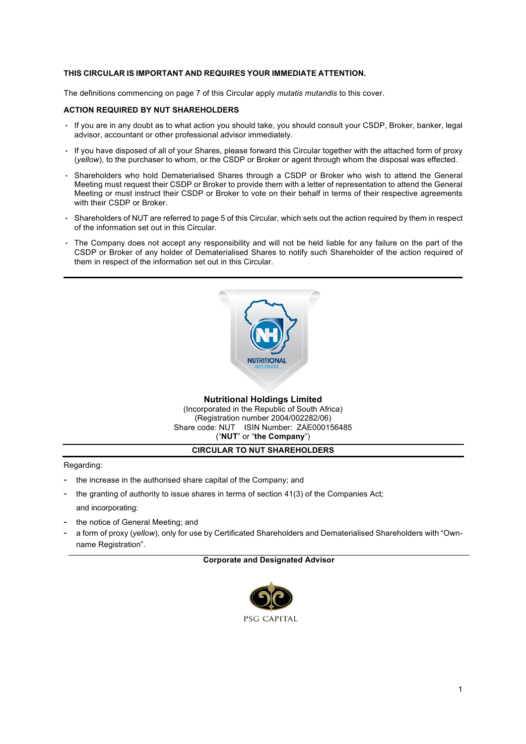#### **THIS CIRCULAR IS IMPORTANT AND REQUIRES YOUR IMMEDIATE ATTENTION.**

The definitions commencing on page 7 of this Circular apply *mutatis mutandis* to this cover.

#### **ACTION REQUIRED BY NUT SHAREHOLDERS**

- If you are in any doubt as to what action you should take, you should consult your CSDP, Broker, banker, legal advisor, accountant or other professional advisor immediately.
- If you have disposed of all of your Shares, please forward this Circular together with the attached form of proxy (*yellow*), to the purchaser to whom, or the CSDP or Broker or agent through whom the disposal was effected.
- Shareholders who hold Dematerialised Shares through a CSDP or Broker who wish to attend the General Meeting must request their CSDP or Broker to provide them with a letter of representation to attend the General Meeting or must instruct their CSDP or Broker to vote on their behalf in terms of their respective agreements with their CSDP or Broker.
- Shareholders of NUT are referred to page 5 of this Circular, which sets out the action required by them in respect of the information set out in this Circular.
- The Company does not accept any responsibility and will not be held liable for any failure on the part of the CSDP or Broker of any holder of Dematerialised Shares to notify such Shareholder of the action required of them in respect of the information set out in this Circular.



#### **Nutritional Holdings Limited** (Incorporated in the Republic of South Africa) (Registration number 2004/002282/06) Share code: NUT ISIN Number: ZAE000156485 ("**NUT**" or "**the Company**")

#### **CIRCULAR TO NUT SHAREHOLDERS**

Regarding:

- the increase in the authorised share capital of the Company; and
- the granting of authority to issue shares in terms of section 41(3) of the Companies Act; and incorporating:
- the notice of General Meeting; and
- a form of proxy (*yellow*)*,* only for use by Certificated Shareholders and Dematerialised Shareholders with "Ownname Registration".

#### **Corporate and Designated Advisor**

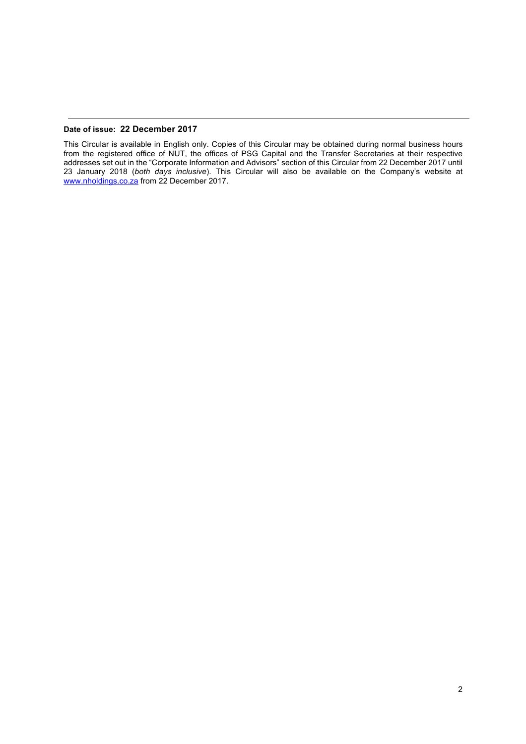#### **Date of issue: 22 December 2017**

This Circular is available in English only. Copies of this Circular may be obtained during normal business hours from the registered office of NUT, the offices of PSG Capital and the Transfer Secretaries at their respective addresses set out in the "Corporate Information and Advisors" section of this Circular from 22 December 2017 until 23 January 2018 (*both days inclusive*). This Circular will also be available on the Company's website at www.nholdings.co.za from 22 December 2017.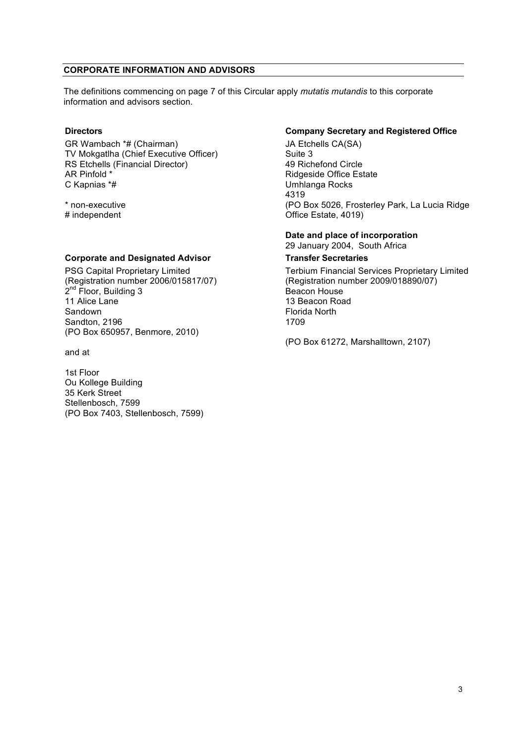#### **CORPORATE INFORMATION AND ADVISORS**

The definitions commencing on page 7 of this Circular apply *mutatis mutandis* to this corporate information and advisors section.

GR Wambach \*# (Chairman) TV Mokgatlha (Chief Executive Officer) RS Etchells (Financial Director) AR Pinfold \* C Kapnias \*#

\* non-executive # independent

## **Corporate and Designated Advisor Transfer Secretaries**

PSG Capital Proprietary Limited (Registration number 2006/015817/07)  $2^{nd}$  Floor, Building 3 11 Alice Lane Sandown Sandton, 2196 (PO Box 650957, Benmore, 2010)

and at

1st Floor Ou Kollege Building 35 Kerk Street Stellenbosch, 7599 (PO Box 7403, Stellenbosch, 7599)

#### **Directors Company Secretary and Registered Office**

JA Etchells CA(SA) Suite 3 49 Richefond Circle Ridgeside Office Estate Umhlanga Rocks 4319 (PO Box 5026, Frosterley Park, La Lucia Ridge Office Estate, 4019)

#### **Date and place of incorporation** 29 January 2004, South Africa

Terbium Financial Services Proprietary Limited (Registration number 2009/018890/07) Beacon House 13 Beacon Road Florida North 1709

(PO Box 61272, Marshalltown, 2107)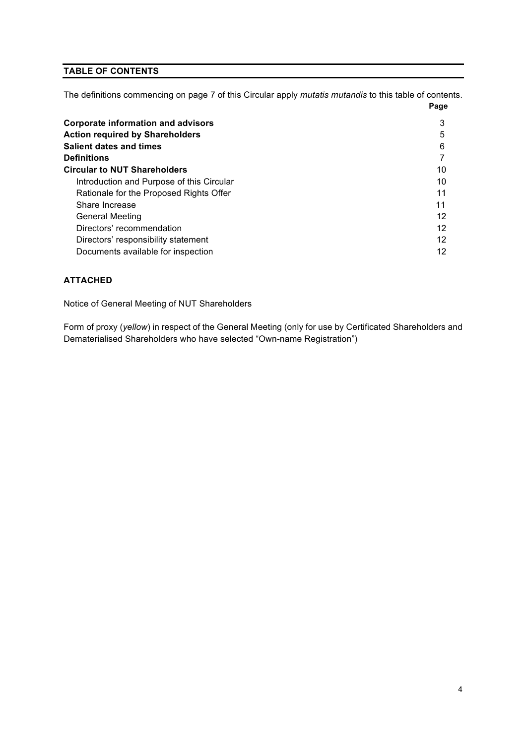# **TABLE OF CONTENTS**

The definitions commencing on page 7 of this Circular apply *mutatis mutandis* to this table of contents.

|                                           | Page |
|-------------------------------------------|------|
| <b>Corporate information and advisors</b> | 3    |
| <b>Action required by Shareholders</b>    | 5    |
| Salient dates and times                   | 6    |
| Definitions                               |      |
| <b>Circular to NUT Shareholders</b>       | 10   |
| Introduction and Purpose of this Circular | 10   |
| Rationale for the Proposed Rights Offer   | 11   |
| Share Increase                            | 11   |
| General Meeting                           | 12   |
| Directors' recommendation                 | 12   |
| Directors' responsibility statement       | 12   |
| Documents available for inspection        | 12   |

# **ATTACHED**

Notice of General Meeting of NUT Shareholders

Form of proxy (*yellow*) in respect of the General Meeting (only for use by Certificated Shareholders and Dematerialised Shareholders who have selected "Own-name Registration")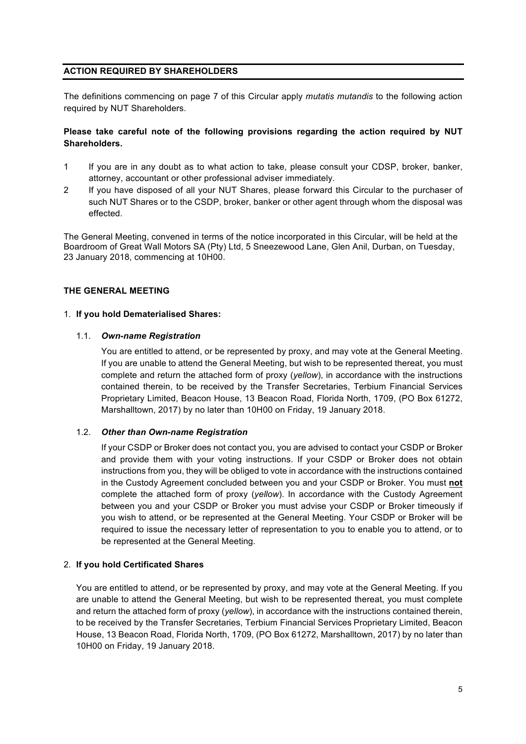## **ACTION REQUIRED BY SHAREHOLDERS**

The definitions commencing on page 7 of this Circular apply *mutatis mutandis* to the following action required by NUT Shareholders.

## **Please take careful note of the following provisions regarding the action required by NUT Shareholders.**

- 1 If you are in any doubt as to what action to take, please consult your CDSP, broker, banker, attorney, accountant or other professional adviser immediately.
- 2 If you have disposed of all your NUT Shares, please forward this Circular to the purchaser of such NUT Shares or to the CSDP, broker, banker or other agent through whom the disposal was effected.

The General Meeting, convened in terms of the notice incorporated in this Circular, will be held at the Boardroom of Great Wall Motors SA (Pty) Ltd, 5 Sneezewood Lane, Glen Anil, Durban, on Tuesday, 23 January 2018, commencing at 10H00.

#### **THE GENERAL MEETING**

#### 1. **If you hold Dematerialised Shares:**

#### 1.1. *Own-name Registration*

You are entitled to attend, or be represented by proxy, and may vote at the General Meeting. If you are unable to attend the General Meeting, but wish to be represented thereat, you must complete and return the attached form of proxy (*yellow*), in accordance with the instructions contained therein, to be received by the Transfer Secretaries, Terbium Financial Services Proprietary Limited, Beacon House, 13 Beacon Road, Florida North, 1709, (PO Box 61272, Marshalltown, 2017) by no later than 10H00 on Friday, 19 January 2018.

## 1.2. *Other than Own-name Registration*

If your CSDP or Broker does not contact you, you are advised to contact your CSDP or Broker and provide them with your voting instructions. If your CSDP or Broker does not obtain instructions from you, they will be obliged to vote in accordance with the instructions contained in the Custody Agreement concluded between you and your CSDP or Broker. You must **not** complete the attached form of proxy (*yellow*). In accordance with the Custody Agreement between you and your CSDP or Broker you must advise your CSDP or Broker timeously if you wish to attend, or be represented at the General Meeting. Your CSDP or Broker will be required to issue the necessary letter of representation to you to enable you to attend, or to be represented at the General Meeting.

#### 2. **If you hold Certificated Shares**

You are entitled to attend, or be represented by proxy, and may vote at the General Meeting. If you are unable to attend the General Meeting, but wish to be represented thereat, you must complete and return the attached form of proxy (*yellow*), in accordance with the instructions contained therein, to be received by the Transfer Secretaries, Terbium Financial Services Proprietary Limited, Beacon House, 13 Beacon Road, Florida North, 1709, (PO Box 61272, Marshalltown, 2017) by no later than 10H00 on Friday, 19 January 2018.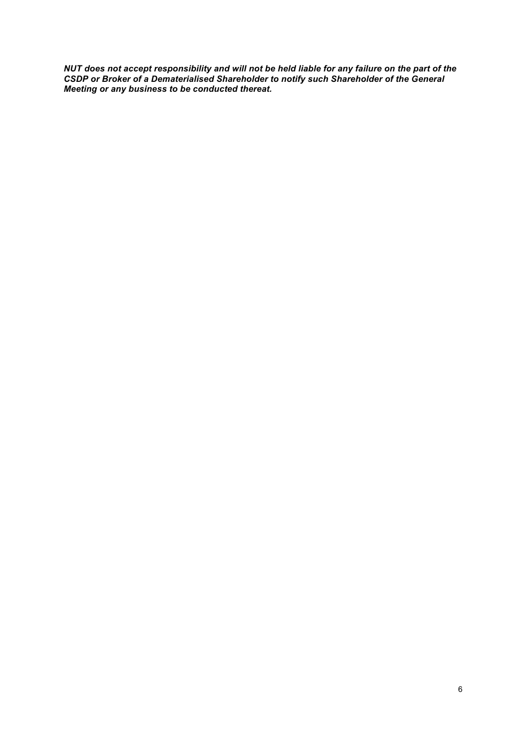*NUT does not accept responsibility and will not be held liable for any failure on the part of the CSDP or Broker of a Dematerialised Shareholder to notify such Shareholder of the General Meeting or any business to be conducted thereat.*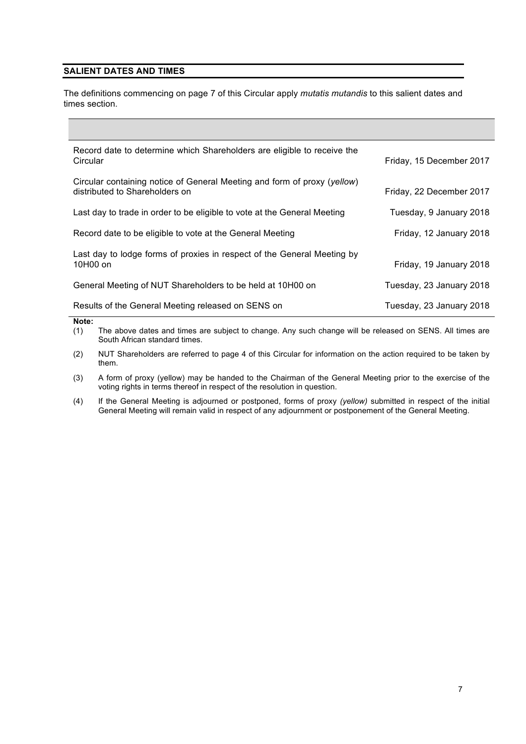## **SALIENT DATES AND TIMES**

The definitions commencing on page 7 of this Circular apply *mutatis mutandis* to this salient dates and times section.

| Record date to determine which Shareholders are eligible to receive the<br>Circular                        | Friday, 15 December 2017 |
|------------------------------------------------------------------------------------------------------------|--------------------------|
| Circular containing notice of General Meeting and form of proxy (yellow)<br>distributed to Shareholders on | Friday, 22 December 2017 |
| Last day to trade in order to be eligible to vote at the General Meeting                                   | Tuesday, 9 January 2018  |
| Record date to be eligible to vote at the General Meeting                                                  | Friday, 12 January 2018  |
| Last day to lodge forms of proxies in respect of the General Meeting by<br>10H00 on                        | Friday, 19 January 2018  |
| General Meeting of NUT Shareholders to be held at 10H00 on                                                 | Tuesday, 23 January 2018 |
| Results of the General Meeting released on SENS on                                                         | Tuesday, 23 January 2018 |
| Note:                                                                                                      |                          |

(1) The above dates and times are subject to change. Any such change will be released on SENS. All times are South African standard times.

(2) NUT Shareholders are referred to page 4 of this Circular for information on the action required to be taken by them.

(3) A form of proxy (yellow) may be handed to the Chairman of the General Meeting prior to the exercise of the voting rights in terms thereof in respect of the resolution in question.

(4) If the General Meeting is adjourned or postponed, forms of proxy *(yellow)* submitted in respect of the initial General Meeting will remain valid in respect of any adjournment or postponement of the General Meeting.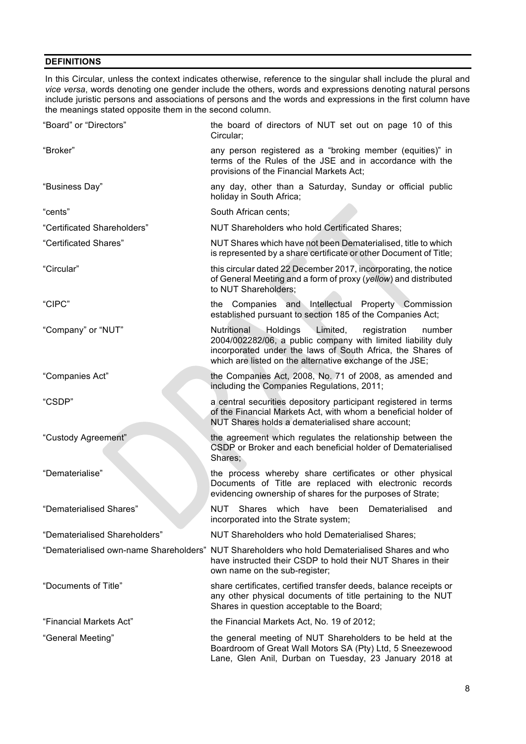## **DEFINITIONS**

In this Circular, unless the context indicates otherwise, reference to the singular shall include the plural and *vice versa*, words denoting one gender include the others, words and expressions denoting natural persons include juristic persons and associations of persons and the words and expressions in the first column have the meanings stated opposite them in the second column.

| "Board" or "Directors"        | the board of directors of NUT set out on page 10 of this<br>Circular;                                                                                                                                                                                   |
|-------------------------------|---------------------------------------------------------------------------------------------------------------------------------------------------------------------------------------------------------------------------------------------------------|
| "Broker"                      | any person registered as a "broking member (equities)" in<br>terms of the Rules of the JSE and in accordance with the<br>provisions of the Financial Markets Act;                                                                                       |
| "Business Day"                | any day, other than a Saturday, Sunday or official public<br>holiday in South Africa;                                                                                                                                                                   |
| "cents"                       | South African cents:                                                                                                                                                                                                                                    |
| "Certificated Shareholders"   | NUT Shareholders who hold Certificated Shares;                                                                                                                                                                                                          |
| "Certificated Shares"         | NUT Shares which have not been Dematerialised, title to which<br>is represented by a share certificate or other Document of Title;                                                                                                                      |
| "Circular"                    | this circular dated 22 December 2017, incorporating, the notice<br>of General Meeting and a form of proxy (yellow) and distributed<br>to NUT Shareholders;                                                                                              |
| "CIPC"                        | the Companies and Intellectual Property Commission<br>established pursuant to section 185 of the Companies Act;                                                                                                                                         |
| "Company" or "NUT"            | Nutritional<br>Holdings<br>Limited,<br>registration<br>number<br>2004/002282/06, a public company with limited liability duly<br>incorporated under the laws of South Africa, the Shares of<br>which are listed on the alternative exchange of the JSE; |
| "Companies Act"               | the Companies Act, 2008, No. 71 of 2008, as amended and<br>including the Companies Regulations, 2011;                                                                                                                                                   |
| "CSDP"                        | a central securities depository participant registered in terms<br>of the Financial Markets Act, with whom a beneficial holder of<br>NUT Shares holds a dematerialised share account;                                                                   |
| "Custody Agreement"           | the agreement which regulates the relationship between the<br>CSDP or Broker and each beneficial holder of Dematerialised<br>Shares;                                                                                                                    |
| "Dematerialise"               | the process whereby share certificates or other physical<br>Documents of Title are replaced with electronic records<br>evidencing ownership of shares for the purposes of Strate;                                                                       |
| "Dematerialised Shares"       | NUT<br>Shares which have been Dematerialised<br>and<br>incorporated into the Strate system;                                                                                                                                                             |
| "Dematerialised Shareholders" | NUT Shareholders who hold Dematerialised Shares;                                                                                                                                                                                                        |
|                               | "Dematerialised own-name Shareholders" NUT Shareholders who hold Dematerialised Shares and who<br>have instructed their CSDP to hold their NUT Shares in their<br>own name on the sub-register;                                                         |
| "Documents of Title"          | share certificates, certified transfer deeds, balance receipts or<br>any other physical documents of title pertaining to the NUT<br>Shares in question acceptable to the Board;                                                                         |
| "Financial Markets Act"       | the Financial Markets Act, No. 19 of 2012;                                                                                                                                                                                                              |
| "General Meeting"             | the general meeting of NUT Shareholders to be held at the<br>Boardroom of Great Wall Motors SA (Pty) Ltd, 5 Sneezewood<br>Lane, Glen Anil, Durban on Tuesday, 23 January 2018 at                                                                        |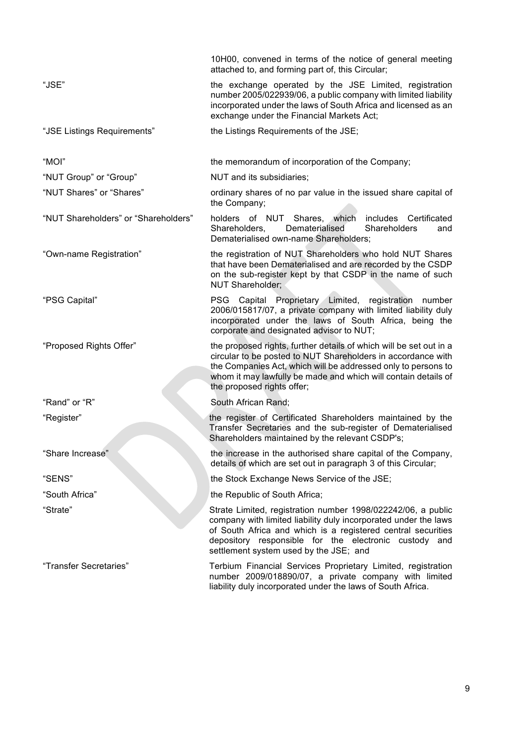|                                      | 10H00, convened in terms of the notice of general meeting<br>attached to, and forming part of, this Circular;                                                                                                                                                                                       |  |  |
|--------------------------------------|-----------------------------------------------------------------------------------------------------------------------------------------------------------------------------------------------------------------------------------------------------------------------------------------------------|--|--|
| "JSE"                                | the exchange operated by the JSE Limited, registration<br>number 2005/022939/06, a public company with limited liability<br>incorporated under the laws of South Africa and licensed as an<br>exchange under the Financial Markets Act;                                                             |  |  |
| "JSE Listings Requirements"          | the Listings Requirements of the JSE;                                                                                                                                                                                                                                                               |  |  |
| "MOI"                                | the memorandum of incorporation of the Company;                                                                                                                                                                                                                                                     |  |  |
| "NUT Group" or "Group"               | NUT and its subsidiaries;                                                                                                                                                                                                                                                                           |  |  |
| "NUT Shares" or "Shares"             | ordinary shares of no par value in the issued share capital of<br>the Company;                                                                                                                                                                                                                      |  |  |
| "NUT Shareholders" or "Shareholders" | holders of NUT Shares, which<br>includes<br>Certificated<br>Dematerialised<br>Shareholders<br>Shareholders,<br>and<br>Dematerialised own-name Shareholders;                                                                                                                                         |  |  |
| "Own-name Registration"              | the registration of NUT Shareholders who hold NUT Shares<br>that have been Dematerialised and are recorded by the CSDP<br>on the sub-register kept by that CSDP in the name of such<br><b>NUT Shareholder:</b>                                                                                      |  |  |
| "PSG Capital"                        | Capital Proprietary Limited, registration number<br>PSG.<br>2006/015817/07, a private company with limited liability duly<br>incorporated under the laws of South Africa, being the<br>corporate and designated advisor to NUT;                                                                     |  |  |
| "Proposed Rights Offer"              | the proposed rights, further details of which will be set out in a<br>circular to be posted to NUT Shareholders in accordance with<br>the Companies Act, which will be addressed only to persons to<br>whom it may lawfully be made and which will contain details of<br>the proposed rights offer; |  |  |
| "Rand" or "R"                        | South African Rand;                                                                                                                                                                                                                                                                                 |  |  |
| "Register"                           | the register of Certificated Shareholders maintained by the<br>Transfer Secretaries and the sub-register of Dematerialised<br>Shareholders maintained by the relevant CSDP's;                                                                                                                       |  |  |
| 'Share Increase"                     | the increase in the authorised share capital of the Company,<br>details of which are set out in paragraph 3 of this Circular;                                                                                                                                                                       |  |  |
| "SENS"                               | the Stock Exchange News Service of the JSE;                                                                                                                                                                                                                                                         |  |  |
| "South Africa"                       | the Republic of South Africa;                                                                                                                                                                                                                                                                       |  |  |
| "Strate"                             | Strate Limited, registration number 1998/022242/06, a public<br>company with limited liability duly incorporated under the laws<br>of South Africa and which is a registered central securities<br>depository responsible for the electronic custody and<br>settlement system used by the JSE; and  |  |  |
| "Transfer Secretaries"               | Terbium Financial Services Proprietary Limited, registration<br>number 2009/018890/07, a private company with limited<br>liability duly incorporated under the laws of South Africa.                                                                                                                |  |  |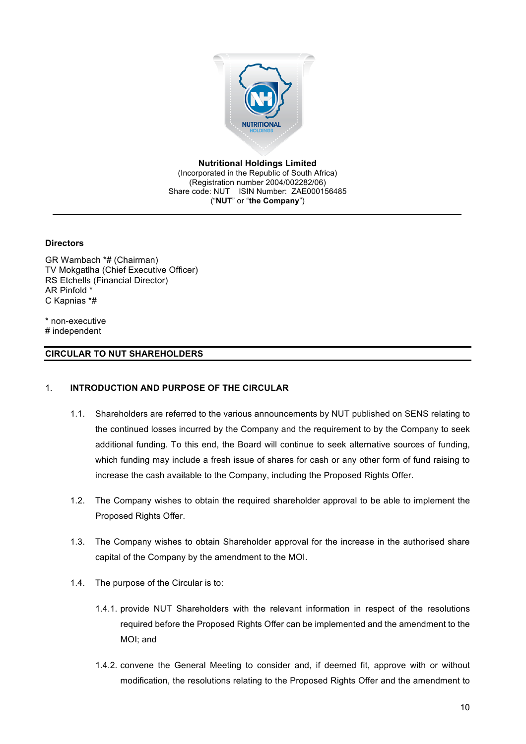

**Nutritional Holdings Limited**

(Incorporated in the Republic of South Africa) (Registration number 2004/002282/06) Share code: NUT ISIN Number: ZAE000156485 ("**NUT**" or "**the Company**")

**Directors**

GR Wambach \*# (Chairman) TV Mokgatlha (Chief Executive Officer) RS Etchells (Financial Director) AR Pinfold \* C Kapnias \*#

\* non-executive # independent

## **CIRCULAR TO NUT SHAREHOLDERS**

#### 1. **INTRODUCTION AND PURPOSE OF THE CIRCULAR**

- 1.1. Shareholders are referred to the various announcements by NUT published on SENS relating to the continued losses incurred by the Company and the requirement to by the Company to seek additional funding. To this end, the Board will continue to seek alternative sources of funding, which funding may include a fresh issue of shares for cash or any other form of fund raising to increase the cash available to the Company, including the Proposed Rights Offer.
- 1.2. The Company wishes to obtain the required shareholder approval to be able to implement the Proposed Rights Offer.
- 1.3. The Company wishes to obtain Shareholder approval for the increase in the authorised share capital of the Company by the amendment to the MOI.
- 1.4. The purpose of the Circular is to:
	- 1.4.1. provide NUT Shareholders with the relevant information in respect of the resolutions required before the Proposed Rights Offer can be implemented and the amendment to the MOI; and
	- 1.4.2. convene the General Meeting to consider and, if deemed fit, approve with or without modification, the resolutions relating to the Proposed Rights Offer and the amendment to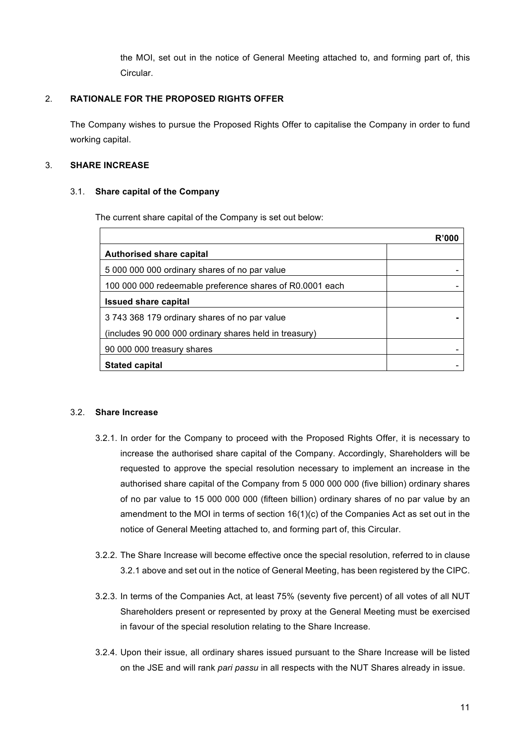the MOI, set out in the notice of General Meeting attached to, and forming part of, this Circular.

# 2. **RATIONALE FOR THE PROPOSED RIGHTS OFFER**

The Company wishes to pursue the Proposed Rights Offer to capitalise the Company in order to fund working capital.

# 3. **SHARE INCREASE**

## 3.1. **Share capital of the Company**

The current share capital of the Company is set out below:

|                                                          | R'000 |
|----------------------------------------------------------|-------|
| Authorised share capital                                 |       |
| 5 000 000 000 ordinary shares of no par value            |       |
| 100 000 000 redeemable preference shares of R0.0001 each |       |
| <b>Issued share capital</b>                              |       |
| 3743 368 179 ordinary shares of no par value             |       |
| (includes 90 000 000 ordinary shares held in treasury)   |       |
| 90 000 000 treasury shares                               |       |
| <b>Stated capital</b>                                    |       |

## 3.2. **Share Increase**

- 3.2.1. In order for the Company to proceed with the Proposed Rights Offer, it is necessary to increase the authorised share capital of the Company. Accordingly, Shareholders will be requested to approve the special resolution necessary to implement an increase in the authorised share capital of the Company from 5 000 000 000 (five billion) ordinary shares of no par value to 15 000 000 000 (fifteen billion) ordinary shares of no par value by an amendment to the MOI in terms of section  $16(1)(c)$  of the Companies Act as set out in the notice of General Meeting attached to, and forming part of, this Circular.
- 3.2.2. The Share Increase will become effective once the special resolution, referred to in clause 3.2.1 above and set out in the notice of General Meeting, has been registered by the CIPC.
- 3.2.3. In terms of the Companies Act, at least 75% (seventy five percent) of all votes of all NUT Shareholders present or represented by proxy at the General Meeting must be exercised in favour of the special resolution relating to the Share Increase.
- 3.2.4. Upon their issue, all ordinary shares issued pursuant to the Share Increase will be listed on the JSE and will rank *pari passu* in all respects with the NUT Shares already in issue.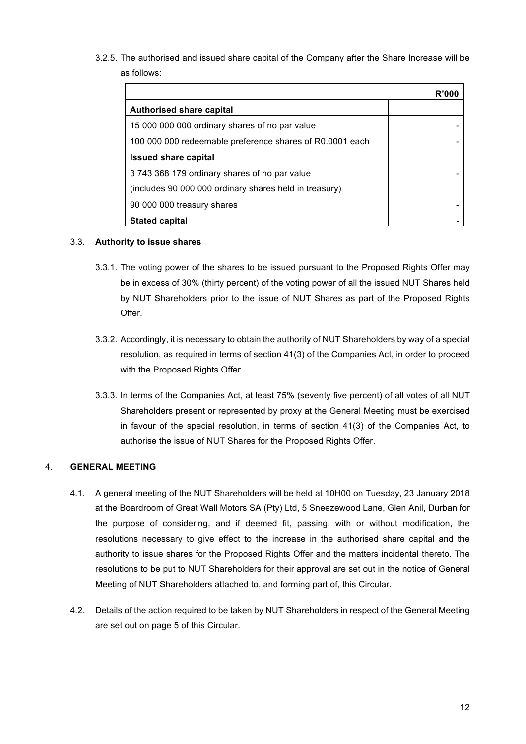3.2.5. The authorised and issued share capital of the Company after the Share Increase will be as follows:

|                                                          | R'000 |
|----------------------------------------------------------|-------|
| <b>Authorised share capital</b>                          |       |
| 15 000 000 000 ordinary shares of no par value           |       |
| 100 000 000 redeemable preference shares of R0.0001 each |       |
| <b>Issued share capital</b>                              |       |
| 3743 368 179 ordinary shares of no par value             |       |
| (includes 90 000 000 ordinary shares held in treasury)   |       |
| 90 000 000 treasury shares                               |       |
| <b>Stated capital</b>                                    |       |

## 3.3. **Authority to issue shares**

- 3.3.1. The voting power of the shares to be issued pursuant to the Proposed Rights Offer may be in excess of 30% (thirty percent) of the voting power of all the issued NUT Shares held by NUT Shareholders prior to the issue of NUT Shares as part of the Proposed Rights Offer.
- 3.3.2. Accordingly, it is necessary to obtain the authority of NUT Shareholders by way of a special resolution, as required in terms of section 41(3) of the Companies Act, in order to proceed with the Proposed Rights Offer.
- 3.3.3. In terms of the Companies Act, at least 75% (seventy five percent) of all votes of all NUT Shareholders present or represented by proxy at the General Meeting must be exercised in favour of the special resolution, in terms of section 41(3) of the Companies Act, to authorise the issue of NUT Shares for the Proposed Rights Offer.

# 4. **GENERAL MEETING**

- 4.1. A general meeting of the NUT Shareholders will be held at 10H00 on Tuesday, 23 January 2018 at the Boardroom of Great Wall Motors SA (Pty) Ltd, 5 Sneezewood Lane, Glen Anil, Durban for the purpose of considering, and if deemed fit, passing, with or without modification, the resolutions necessary to give effect to the increase in the authorised share capital and the authority to issue shares for the Proposed Rights Offer and the matters incidental thereto. The resolutions to be put to NUT Shareholders for their approval are set out in the notice of General Meeting of NUT Shareholders attached to, and forming part of, this Circular.
- 4.2. Details of the action required to be taken by NUT Shareholders in respect of the General Meeting are set out on page 5 of this Circular.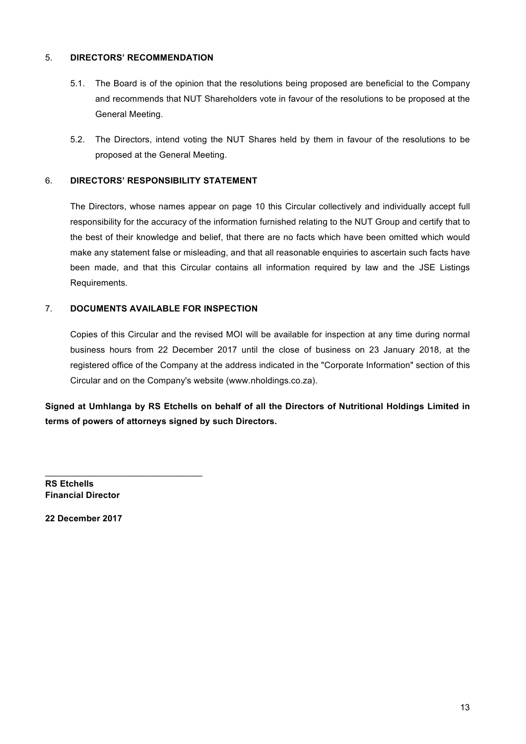# 5. **DIRECTORS' RECOMMENDATION**

- 5.1. The Board is of the opinion that the resolutions being proposed are beneficial to the Company and recommends that NUT Shareholders vote in favour of the resolutions to be proposed at the General Meeting.
- 5.2. The Directors, intend voting the NUT Shares held by them in favour of the resolutions to be proposed at the General Meeting.

## 6. **DIRECTORS' RESPONSIBILITY STATEMENT**

The Directors, whose names appear on page 10 this Circular collectively and individually accept full responsibility for the accuracy of the information furnished relating to the NUT Group and certify that to the best of their knowledge and belief, that there are no facts which have been omitted which would make any statement false or misleading, and that all reasonable enquiries to ascertain such facts have been made, and that this Circular contains all information required by law and the JSE Listings Requirements.

## 7. **DOCUMENTS AVAILABLE FOR INSPECTION**

Copies of this Circular and the revised MOI will be available for inspection at any time during normal business hours from 22 December 2017 until the close of business on 23 January 2018, at the registered office of the Company at the address indicated in the "Corporate Information" section of this Circular and on the Company's website (www.nholdings.co.za).

**Signed at Umhlanga by RS Etchells on behalf of all the Directors of Nutritional Holdings Limited in terms of powers of attorneys signed by such Directors.**

**RS Etchells Financial Director**

\_\_\_\_\_\_\_\_\_\_\_\_\_\_\_\_\_\_\_\_\_\_\_\_\_\_\_\_\_\_\_\_

**22 December 2017**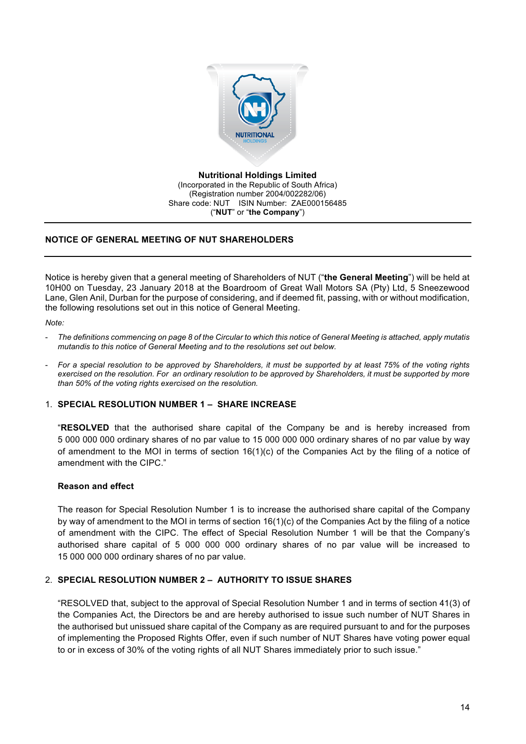

**Nutritional Holdings Limited** (Incorporated in the Republic of South Africa) (Registration number 2004/002282/06) Share code: NUT ISIN Number: ZAE000156485 ("**NUT**" or "**the Company**")

## **NOTICE OF GENERAL MEETING OF NUT SHAREHOLDERS**

Notice is hereby given that a general meeting of Shareholders of NUT ("**the General Meeting**") will be held at 10H00 on Tuesday, 23 January 2018 at the Boardroom of Great Wall Motors SA (Pty) Ltd, 5 Sneezewood Lane, Glen Anil, Durban for the purpose of considering, and if deemed fit, passing, with or without modification, the following resolutions set out in this notice of General Meeting.

#### *Note:*

- *The definitions commencing on page 8 of the Circular to which this notice of General Meeting is attached, apply mutatis mutandis to this notice of General Meeting and to the resolutions set out below.*
- *For a special resolution to be approved by Shareholders, it must be supported by at least 75% of the voting rights exercised on the resolution. For an ordinary resolution to be approved by Shareholders, it must be supported by more than 50% of the voting rights exercised on the resolution.*

## 1. **SPECIAL RESOLUTION NUMBER 1 – SHARE INCREASE**

"**RESOLVED** that the authorised share capital of the Company be and is hereby increased from 5 000 000 000 ordinary shares of no par value to 15 000 000 000 ordinary shares of no par value by way of amendment to the MOI in terms of section 16(1)(c) of the Companies Act by the filing of a notice of amendment with the CIPC."

## **Reason and effect**

The reason for Special Resolution Number 1 is to increase the authorised share capital of the Company by way of amendment to the MOI in terms of section 16(1)(c) of the Companies Act by the filing of a notice of amendment with the CIPC. The effect of Special Resolution Number 1 will be that the Company's authorised share capital of 5 000 000 000 ordinary shares of no par value will be increased to 15 000 000 000 ordinary shares of no par value.

## 2. **SPECIAL RESOLUTION NUMBER 2 – AUTHORITY TO ISSUE SHARES**

"RESOLVED that, subject to the approval of Special Resolution Number 1 and in terms of section 41(3) of the Companies Act, the Directors be and are hereby authorised to issue such number of NUT Shares in the authorised but unissued share capital of the Company as are required pursuant to and for the purposes of implementing the Proposed Rights Offer, even if such number of NUT Shares have voting power equal to or in excess of 30% of the voting rights of all NUT Shares immediately prior to such issue."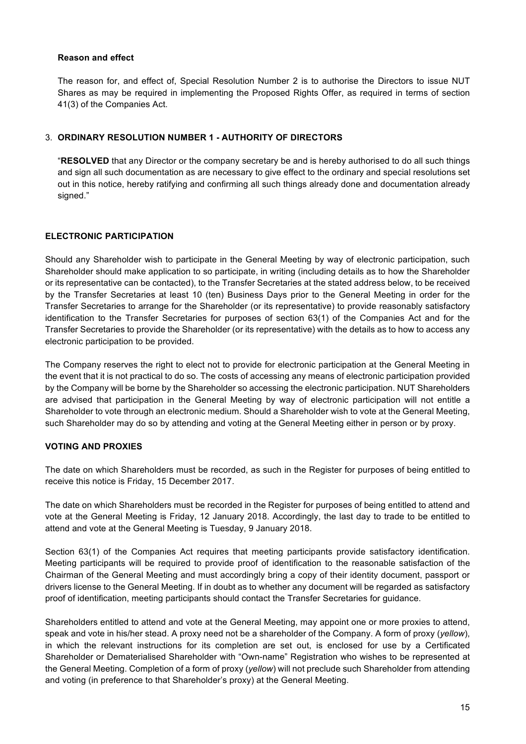## **Reason and effect**

The reason for, and effect of, Special Resolution Number 2 is to authorise the Directors to issue NUT Shares as may be required in implementing the Proposed Rights Offer, as required in terms of section 41(3) of the Companies Act.

## 3. **ORDINARY RESOLUTION NUMBER 1 - AUTHORITY OF DIRECTORS**

"**RESOLVED** that any Director or the company secretary be and is hereby authorised to do all such things and sign all such documentation as are necessary to give effect to the ordinary and special resolutions set out in this notice, hereby ratifying and confirming all such things already done and documentation already signed."

## **ELECTRONIC PARTICIPATION**

Should any Shareholder wish to participate in the General Meeting by way of electronic participation, such Shareholder should make application to so participate, in writing (including details as to how the Shareholder or its representative can be contacted), to the Transfer Secretaries at the stated address below, to be received by the Transfer Secretaries at least 10 (ten) Business Days prior to the General Meeting in order for the Transfer Secretaries to arrange for the Shareholder (or its representative) to provide reasonably satisfactory identification to the Transfer Secretaries for purposes of section 63(1) of the Companies Act and for the Transfer Secretaries to provide the Shareholder (or its representative) with the details as to how to access any electronic participation to be provided.

The Company reserves the right to elect not to provide for electronic participation at the General Meeting in the event that it is not practical to do so. The costs of accessing any means of electronic participation provided by the Company will be borne by the Shareholder so accessing the electronic participation. NUT Shareholders are advised that participation in the General Meeting by way of electronic participation will not entitle a Shareholder to vote through an electronic medium. Should a Shareholder wish to vote at the General Meeting, such Shareholder may do so by attending and voting at the General Meeting either in person or by proxy.

## **VOTING AND PROXIES**

The date on which Shareholders must be recorded, as such in the Register for purposes of being entitled to receive this notice is Friday, 15 December 2017.

The date on which Shareholders must be recorded in the Register for purposes of being entitled to attend and vote at the General Meeting is Friday, 12 January 2018. Accordingly, the last day to trade to be entitled to attend and vote at the General Meeting is Tuesday, 9 January 2018.

Section 63(1) of the Companies Act requires that meeting participants provide satisfactory identification. Meeting participants will be required to provide proof of identification to the reasonable satisfaction of the Chairman of the General Meeting and must accordingly bring a copy of their identity document, passport or drivers license to the General Meeting. If in doubt as to whether any document will be regarded as satisfactory proof of identification, meeting participants should contact the Transfer Secretaries for guidance.

Shareholders entitled to attend and vote at the General Meeting, may appoint one or more proxies to attend, speak and vote in his/her stead. A proxy need not be a shareholder of the Company. A form of proxy (*yellow*), in which the relevant instructions for its completion are set out, is enclosed for use by a Certificated Shareholder or Dematerialised Shareholder with "Own-name" Registration who wishes to be represented at the General Meeting. Completion of a form of proxy (*yellow*) will not preclude such Shareholder from attending and voting (in preference to that Shareholder's proxy) at the General Meeting.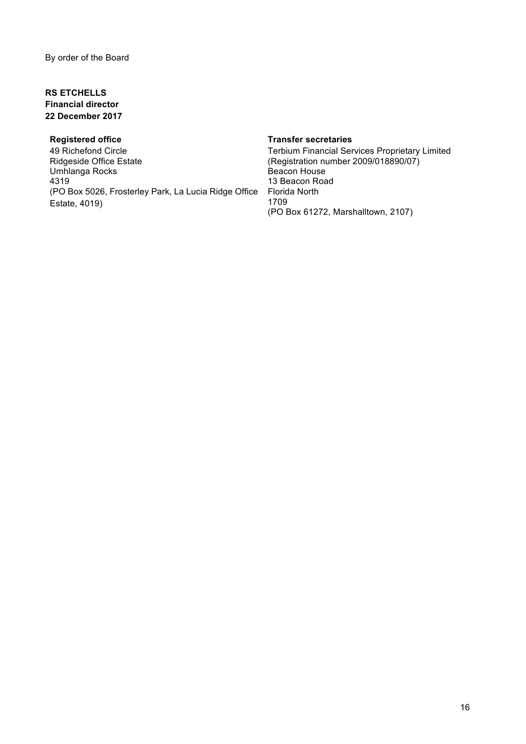# **RS ETCHELLS Financial director 22 December 2017**

# **Registered office**

49 Richefond Circle Ridgeside Office Estate Umhlanga Rocks 4319 (PO Box 5026, Frosterley Park, La Lucia Ridge Office Estate, 4019)

#### **Transfer secretaries**

Terbium Financial Services Proprietary Limited (Registration number 2009/018890/07) Beacon House 13 Beacon Road Florida North 1709 (PO Box 61272, Marshalltown, 2107)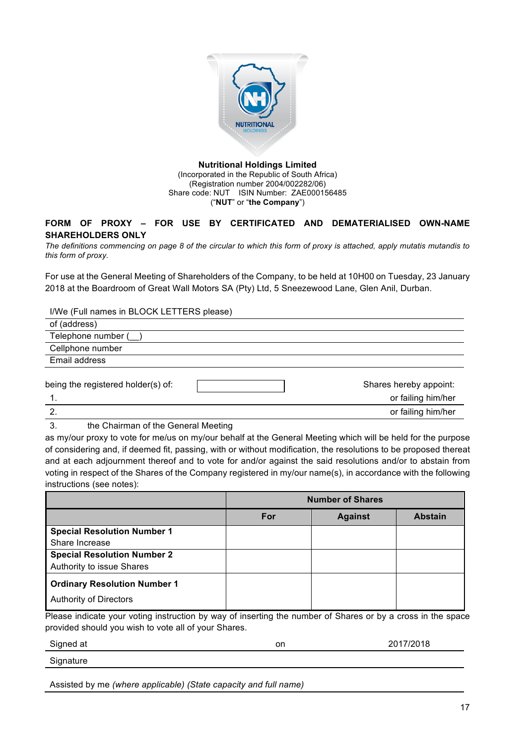

#### **Nutritional Holdings Limited** (Incorporated in the Republic of South Africa) (Registration number 2004/002282/06) Share code: NUT ISIN Number: ZAE000156485 ("**NUT**" or "**the Company**")

# **FORM OF PROXY – FOR USE BY CERTIFICATED AND DEMATERIALISED OWN-NAME SHAREHOLDERS ONLY**

*The definitions commencing on page 8 of the circular to which this form of proxy is attached, apply mutatis mutandis to this form of proxy.*

For use at the General Meeting of Shareholders of the Company, to be held at 10H00 on Tuesday, 23 January 2018 at the Boardroom of Great Wall Motors SA (Pty) Ltd, 5 Sneezewood Lane, Glen Anil, Durban.

I/We (Full names in BLOCK LETTERS please)

| of (address)                       |                                              |
|------------------------------------|----------------------------------------------|
| Telephone number (                 |                                              |
| Cellphone number                   |                                              |
| Email address                      |                                              |
| being the registered holder(s) of: | Shares hereby appoint:<br>or failing him/her |
| 2.                                 | or failing him/her                           |

3. the Chairman of the General Meeting

as my/our proxy to vote for me/us on my/our behalf at the General Meeting which will be held for the purpose of considering and, if deemed fit, passing, with or without modification, the resolutions to be proposed thereat and at each adjournment thereof and to vote for and/or against the said resolutions and/or to abstain from voting in respect of the Shares of the Company registered in my/our name(s), in accordance with the following instructions (see notes):

|                                     | <b>Number of Shares</b> |                |                |
|-------------------------------------|-------------------------|----------------|----------------|
|                                     | For                     | <b>Against</b> | <b>Abstain</b> |
| <b>Special Resolution Number 1</b>  |                         |                |                |
| Share Increase                      |                         |                |                |
| <b>Special Resolution Number 2</b>  |                         |                |                |
| Authority to issue Shares           |                         |                |                |
| <b>Ordinary Resolution Number 1</b> |                         |                |                |
| <b>Authority of Directors</b>       |                         |                |                |

Please indicate your voting instruction by way of inserting the number of Shares or by a cross in the space provided should you wish to vote all of your Shares.

| Signed at | on | /2018 |
|-----------|----|-------|
| Signature |    |       |

Assisted by me *(where applicable) (State capacity and full name)*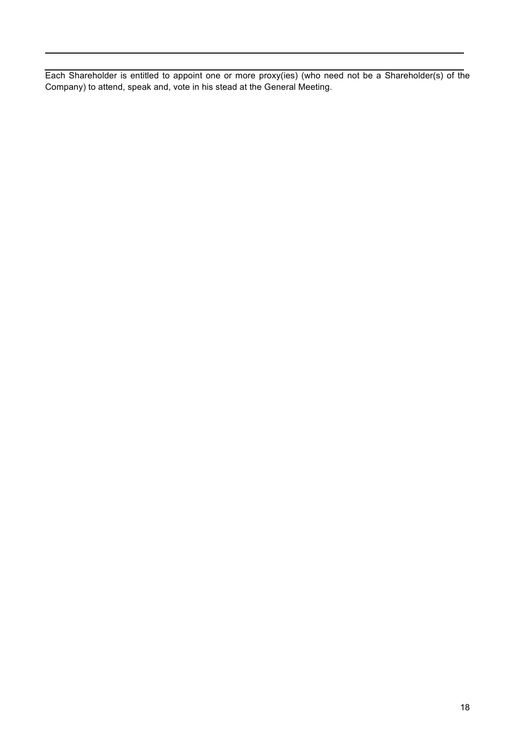Each Shareholder is entitled to appoint one or more proxy(ies) (who need not be a Shareholder(s) of the Company) to attend, speak and, vote in his stead at the General Meeting.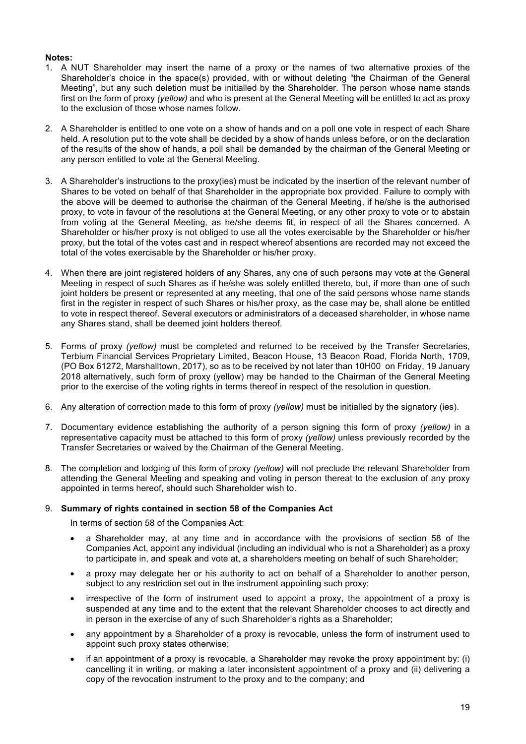#### **Notes:**

- 1. A NUT Shareholder may insert the name of a proxy or the names of two alternative proxies of the Shareholder's choice in the space(s) provided, with or without deleting "the Chairman of the General Meeting", but any such deletion must be initialled by the Shareholder. The person whose name stands first on the form of proxy *(yellow)* and who is present at the General Meeting will be entitled to act as proxy to the exclusion of those whose names follow.
- 2. A Shareholder is entitled to one vote on a show of hands and on a poll one vote in respect of each Share held. A resolution put to the vote shall be decided by a show of hands unless before, or on the declaration of the results of the show of hands, a poll shall be demanded by the chairman of the General Meeting or any person entitled to vote at the General Meeting.
- 3. A Shareholder's instructions to the proxy(ies) must be indicated by the insertion of the relevant number of Shares to be voted on behalf of that Shareholder in the appropriate box provided. Failure to comply with the above will be deemed to authorise the chairman of the General Meeting, if he/she is the authorised proxy, to vote in favour of the resolutions at the General Meeting, or any other proxy to vote or to abstain from voting at the General Meeting, as he/she deems fit, in respect of all the Shares concerned. A Shareholder or his/her proxy is not obliged to use all the votes exercisable by the Shareholder or his/her proxy, but the total of the votes cast and in respect whereof absentions are recorded may not exceed the total of the votes exercisable by the Shareholder or his/her proxy.
- 4. When there are joint registered holders of any Shares, any one of such persons may vote at the General Meeting in respect of such Shares as if he/she was solely entitled thereto, but, if more than one of such joint holders be present or represented at any meeting, that one of the said persons whose name stands first in the register in respect of such Shares or his/her proxy, as the case may be, shall alone be entitled to vote in respect thereof. Several executors or administrators of a deceased shareholder, in whose name any Shares stand, shall be deemed joint holders thereof.
- 5. Forms of proxy *(yellow)* must be completed and returned to be received by the Transfer Secretaries, Terbium Financial Services Proprietary Limited, Beacon House, 13 Beacon Road, Florida North, 1709, (PO Box 61272, Marshalltown, 2017), so as to be received by not later than 10H00 on Friday, 19 January 2018 alternatively, such form of proxy (yellow) may be handed to the Chairman of the General Meeting prior to the exercise of the voting rights in terms thereof in respect of the resolution in question.
- 6. Any alteration of correction made to this form of proxy *(yellow)* must be initialled by the signatory (ies).
- 7. Documentary evidence establishing the authority of a person signing this form of proxy *(yellow)* in a representative capacity must be attached to this form of proxy *(yellow)* unless previously recorded by the Transfer Secretaries or waived by the Chairman of the General Meeting.
- 8. The completion and lodging of this form of proxy *(yellow)* will not preclude the relevant Shareholder from attending the General Meeting and speaking and voting in person thereat to the exclusion of any proxy appointed in terms hereof, should such Shareholder wish to.

#### 9. **Summary of rights contained in section 58 of the Companies Act**

In terms of section 58 of the Companies Act:

- a Shareholder may, at any time and in accordance with the provisions of section 58 of the Companies Act, appoint any individual (including an individual who is not a Shareholder) as a proxy to participate in, and speak and vote at, a shareholders meeting on behalf of such Shareholder;
- a proxy may delegate her or his authority to act on behalf of a Shareholder to another person, subject to any restriction set out in the instrument appointing such proxy;
- irrespective of the form of instrument used to appoint a proxy, the appointment of a proxy is suspended at any time and to the extent that the relevant Shareholder chooses to act directly and in person in the exercise of any of such Shareholder's rights as a Shareholder;
- any appointment by a Shareholder of a proxy is revocable, unless the form of instrument used to appoint such proxy states otherwise;
- if an appointment of a proxy is revocable, a Shareholder may revoke the proxy appointment by: (i) cancelling it in writing, or making a later inconsistent appointment of a proxy and (ii) delivering a copy of the revocation instrument to the proxy and to the company; and